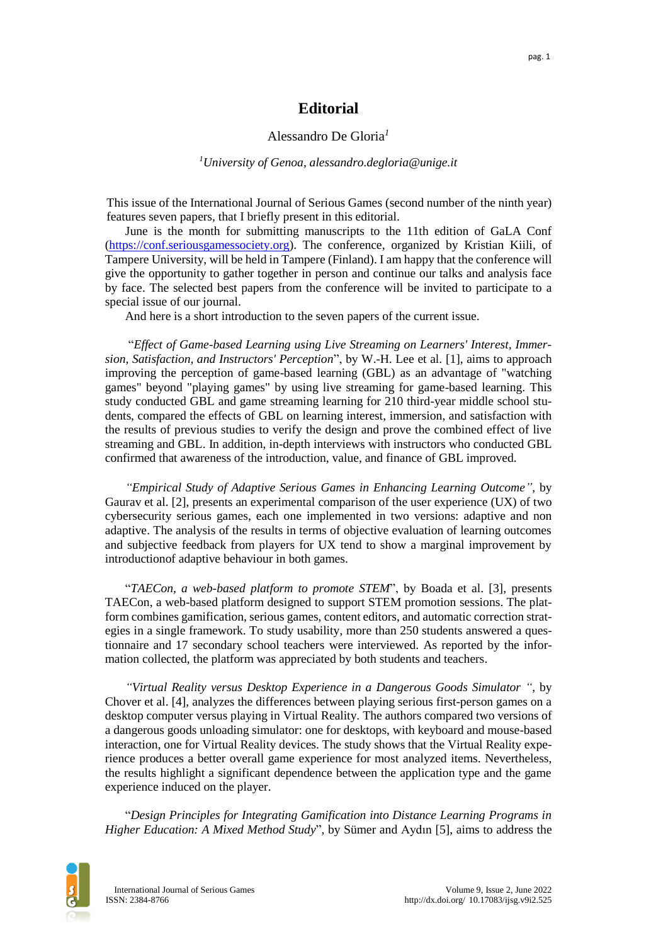## **Editorial**

### Alessandro De Gloria*<sup>1</sup>*

#### *<sup>1</sup>University of Genoa, alessandro.degloria@unige.it*

This issue of the International Journal of Serious Games (second number of the ninth year) features seven papers, that I briefly present in this editorial.

June is the month for submitting manuscripts to the 11th edition of GaLA Conf [\(https://conf.seriousgamessociety.org\)](https://conf.seriousgamessociety.org/). The conference, organized by Kristian Kiili, of Tampere University, will be held in Tampere (Finland). I am happy that the conference will give the opportunity to gather together in person and continue our talks and analysis face by face. The selected best papers from the conference will be invited to participate to a special issue of our journal.

And here is a short introduction to the seven papers of the current issue.

"*Effect of Game-based Learning using Live Streaming on Learners' Interest, Immersion, Satisfaction, and Instructors' Perception*", by W.-H. Lee et al. [1], aims to approach improving the perception of game-based learning (GBL) as an advantage of "watching games" beyond "playing games" by using live streaming for game-based learning. This study conducted GBL and game streaming learning for 210 third-year middle school students, compared the effects of GBL on learning interest, immersion, and satisfaction with the results of previous studies to verify the design and prove the combined effect of live streaming and GBL. In addition, in-depth interviews with instructors who conducted GBL confirmed that awareness of the introduction, value, and finance of GBL improved.

*"Empirical Study of Adaptive Serious Games in Enhancing Learning Outcome"*, by Gaurav et al. [2], presents an experimental comparison of the user experience (UX) of two cybersecurity serious games, each one implemented in two versions: adaptive and non adaptive. The analysis of the results in terms of objective evaluation of learning outcomes and subjective feedback from players for UX tend to show a marginal improvement by introductionof adaptive behaviour in both games.

"*TAECon, a web-based platform to promote STEM*", by Boada et al. [3], presents TAECon, a web-based platform designed to support STEM promotion sessions. The platform combines gamification, serious games, content editors, and automatic correction strategies in a single framework. To study usability, more than 250 students answered a questionnaire and 17 secondary school teachers were interviewed. As reported by the information collected, the platform was appreciated by both students and teachers.

*"Virtual Reality versus Desktop Experience in a Dangerous Goods Simulator "*, by Chover et al. [4], analyzes the differences between playing serious first-person games on a desktop computer versus playing in Virtual Reality. The authors compared two versions of a dangerous goods unloading simulator: one for desktops, with keyboard and mouse-based interaction, one for Virtual Reality devices. The study shows that the Virtual Reality experience produces a better overall game experience for most analyzed items. Nevertheless, the results highlight a significant dependence between the application type and the game experience induced on the player.

"*Design Principles for Integrating Gamification into Distance Learning Programs in Higher Education: A Mixed Method Study*", by Sümer and Aydın [5], aims to address the